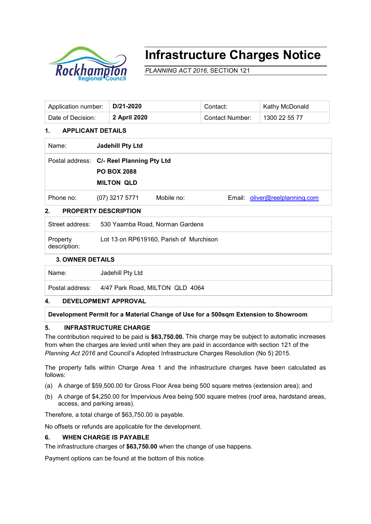

# **Infrastructure Charges Notice**

*PLANNING ACT 2016*, SECTION 121

| Application number: | D/21-2020           | Contact:        | Kathy McDonald |
|---------------------|---------------------|-----------------|----------------|
| Date of Decision:   | <b>2 April 2020</b> | Contact Number: | 1300 22 55 77  |

# **1. APPLICANT DETAILS**

| Name:     | <b>Jadehill Pty Ltd</b>                   |            |                                |  |  |  |
|-----------|-------------------------------------------|------------|--------------------------------|--|--|--|
|           | Postal address: C/- Reel Planning Pty Ltd |            |                                |  |  |  |
|           | <b>PO BOX 2088</b>                        |            |                                |  |  |  |
|           | <b>MILTON QLD</b>                         |            |                                |  |  |  |
| Phone no: | $(07)$ 3217 5771                          | Mobile no: | Email: oliver@reelplanning.com |  |  |  |

# **2. PROPERTY DESCRIPTION**

| Property<br>description: | Lot 13 on RP619160, Parish of Murchison |
|--------------------------|-----------------------------------------|
| Street address:          | 530 Yaamba Road, Norman Gardens         |

#### **3. OWNER DETAILS**

Name: Jadehill Pty Ltd

Postal address: 4/47 Park Road, MILTON QLD 4064

#### **4. DEVELOPMENT APPROVAL**

**Development Permit for a Material Change of Use for a 500sqm Extension to Showroom**

### **5. INFRASTRUCTURE CHARGE**

The contribution required to be paid is **\$63,750.00.** This charge may be subject to automatic increases from when the charges are levied until when they are paid in accordance with section 121 of the *Planning Act 2016* and Council's Adopted Infrastructure Charges Resolution (No 5) 2015.

The property falls within Charge Area 1 and the infrastructure charges have been calculated as follows:

- (a) A charge of \$59,500.00 for Gross Floor Area being 500 square metres (extension area); and
- (b) A charge of \$4,250.00 for Impervious Area being 500 square metres (roof area, hardstand areas, access, and parking areas).

Therefore, a total charge of \$63,750.00 is payable.

No offsets or refunds are applicable for the development.

#### **6. WHEN CHARGE IS PAYABLE**

The infrastructure charges of **\$63,750.00** when the change of use happens.

Payment options can be found at the bottom of this notice.